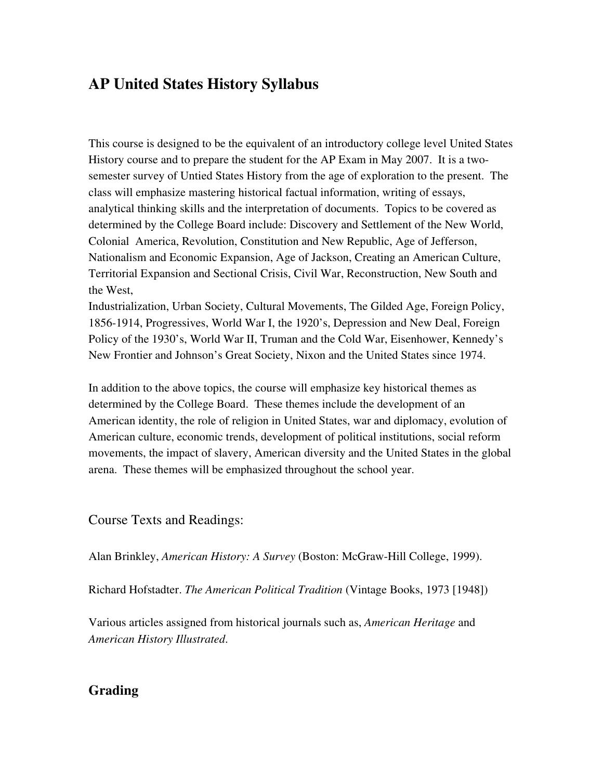# AP United States History Syllabus

This course is designed to be the equivalent of an introductory college level United States History course and to prepare the student for the AP Exam in May 2007. It is a twosemester survey of Untied States History from the age of exploration to the present. The class will emphasize mastering historical factual information, writing of essays, analytical thinking skills and the interpretation of documents. Topics to be covered as determined by the College Board include: Discovery and Settlement of the New World, Colonial America, Revolution, Constitution and New Republic, Age of Jefferson, Nationalism and Economic Expansion, Age of Jackson, Creating an American Culture, Territorial Expansion and Sectional Crisis, Civil War, Reconstruction, New South and the West,

Industrialization, Urban Society, Cultural Movements, The Gilded Age, Foreign Policy, 18561914, Progressives, World War I, the 1920's, Depression and New Deal, Foreign Policy of the 1930's, World War II, Truman and the Cold War, Eisenhower, Kennedy's New Frontier and Johnson's Great Society, Nixon and the United States since 1974.

In addition to the above topics, the course will emphasize key historical themes as determined by the College Board. These themes include the development of an American identity, the role of religion in United States, war and diplomacy, evolution of American culture, economic trends, development of political institutions, social reform movements, the impact of slavery, American diversity and the United States in the global arena. These themes will be emphasized throughout the school year.

Course Texts and Readings:

Alan Brinkley, *American History: A Survey* (Boston: McGraw-Hill College, 1999).

Richard Hofstadter. *The American Political Tradition* (Vintage Books, 1973 [1948])

Various articles assigned from historical journals such as, *American Heritage* and *American History Illustrated*.

## Grading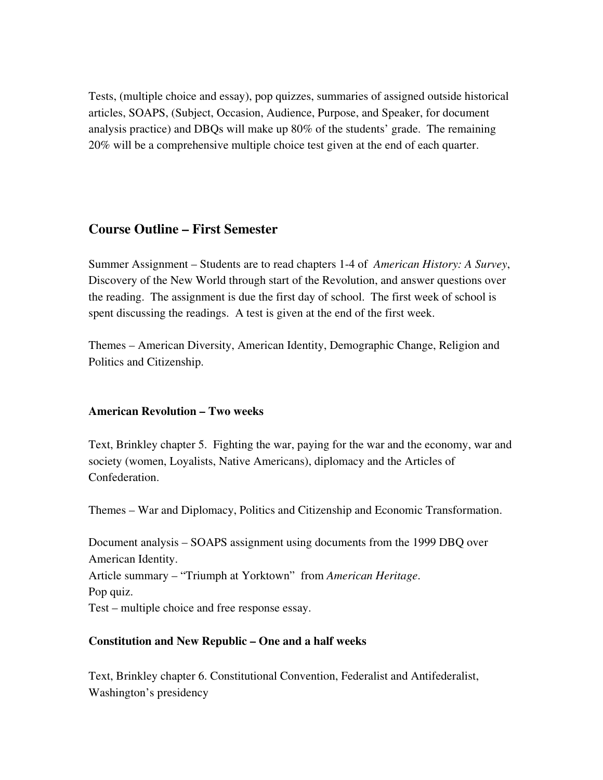Tests, (multiple choice and essay), pop quizzes, summaries of assigned outside historical articles, SOAPS, (Subject, Occasion, Audience, Purpose, and Speaker, for document analysis practice) and DBQs will make up 80% of the students' grade. The remaining 20% will be a comprehensive multiple choice test given at the end of each quarter.

## Course Outline – First Semester

Summer Assignment – Students are to read chapters 1-4 of *American History: A Survey*, Discovery of the New World through start of the Revolution, and answer questions over the reading. The assignment is due the first day of school. The first week of school is spent discussing the readings. A test is given at the end of the first week.

Themes – American Diversity, American Identity, Demographic Change, Religion and Politics and Citizenship.

## American Revolution – Two weeks

Text, Brinkley chapter 5. Fighting the war, paying for the war and the economy, war and society (women, Loyalists, Native Americans), diplomacy and the Articles of Confederation.

Themes – War and Diplomacy, Politics and Citizenship and Economic Transformation.

Document analysis – SOAPS assignment using documents from the 1999 DBQ over American Identity. Article summary – "Triumph at Yorktown" from *American Heritage*. Pop quiz. Test – multiple choice and free response essay.

## Constitution and New Republic – One and a half weeks

Text, Brinkley chapter 6. Constitutional Convention, Federalist and Antifederalist, Washington's presidency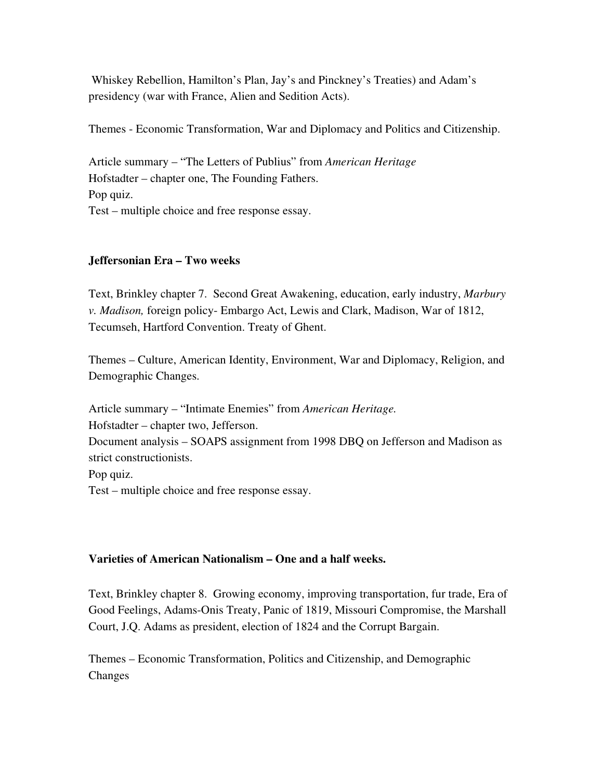Whiskey Rebellion, Hamilton's Plan, Jay's and Pinckney's Treaties) and Adam's presidency (war with France, Alien and Sedition Acts).

Themes Economic Transformation, War and Diplomacy and Politics and Citizenship.

Article summary – "The Letters of Publius" from *American Heritage* Hofstadter – chapter one, The Founding Fathers. Pop quiz. Test – multiple choice and free response essay.

#### Jeffersonian Era – Two weeks

Text, Brinkley chapter 7. Second Great Awakening, education, early industry, *Marbury v. Madison, foreign policy- Embargo Act, Lewis and Clark, Madison, War of 1812,* Tecumseh, Hartford Convention. Treaty of Ghent.

Themes – Culture, American Identity, Environment, War and Diplomacy, Religion, and Demographic Changes.

Article summary – "Intimate Enemies" from *American Heritage.* Hofstadter – chapter two, Jefferson. Document analysis – SOAPS assignment from 1998 DBQ on Jefferson and Madison as strict constructionists. Pop quiz. Test – multiple choice and free response essay.

#### Varieties of American Nationalism – One and a half weeks.

Text, Brinkley chapter 8. Growing economy, improving transportation, fur trade, Era of Good Feelings, Adams-Onis Treaty, Panic of 1819, Missouri Compromise, the Marshall Court, J.Q. Adams as president, election of 1824 and the Corrupt Bargain.

Themes – Economic Transformation, Politics and Citizenship, and Demographic Changes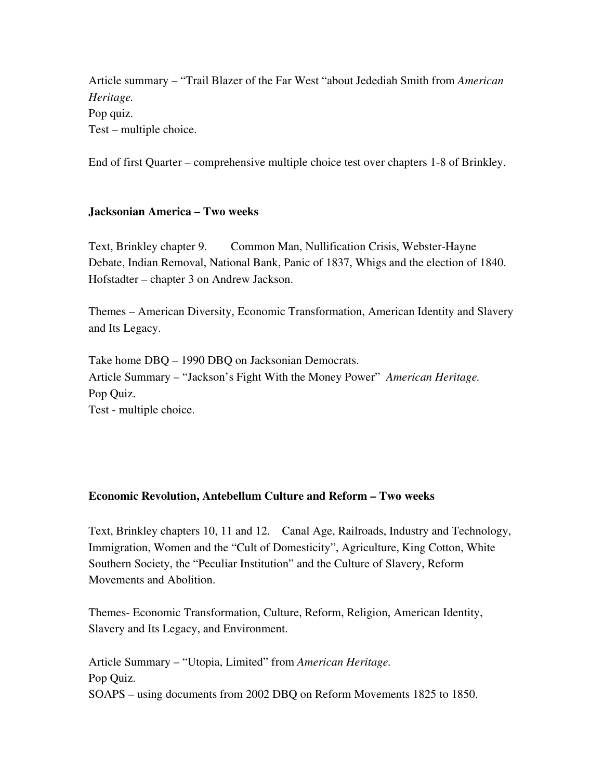Article summary – "Trail Blazer of the Far West "about Jedediah Smith from *American Heritage.* Pop quiz. Test – multiple choice.

End of first Quarter – comprehensive multiple choice test over chapters 1-8 of Brinkley.

## Jacksonian America – Two weeks

Text, Brinkley chapter 9. Common Man, Nullification Crisis, WebsterHayne Debate, Indian Removal, National Bank, Panic of 1837, Whigs and the election of 1840. Hofstadter – chapter 3 on Andrew Jackson.

Themes – American Diversity, Economic Transformation, American Identity and Slavery and Its Legacy.

Take home DBQ – 1990 DBQ on Jacksonian Democrats. Article Summary – "Jackson's Fight With the Money Power" *American Heritage.* Pop Quiz. Test - multiple choice.

## Economic Revolution, Antebellum Culture and Reform – Two weeks

Text, Brinkley chapters 10, 11 and 12. Canal Age, Railroads, Industry and Technology, Immigration, Women and the "Cult of Domesticity", Agriculture, King Cotton, White Southern Society, the "Peculiar Institution" and the Culture of Slavery, Reform Movements and Abolition.

Themes Economic Transformation, Culture, Reform, Religion, American Identity, Slavery and Its Legacy, and Environment.

Article Summary – "Utopia, Limited" from *American Heritage.* Pop Quiz. SOAPS – using documents from 2002 DBQ on Reform Movements 1825 to 1850.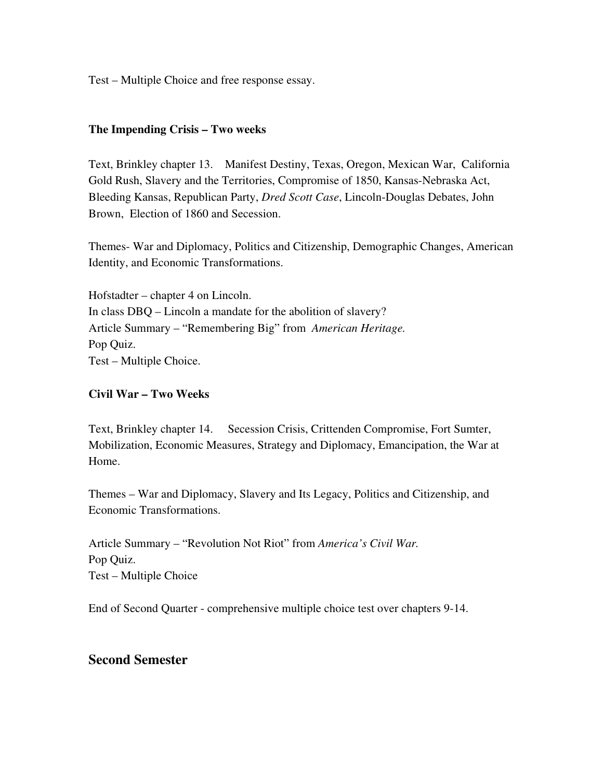Test – Multiple Choice and free response essay.

#### The Impending Crisis – Two weeks

Text, Brinkley chapter 13. Manifest Destiny, Texas, Oregon, Mexican War, California Gold Rush, Slavery and the Territories, Compromise of 1850, Kansas-Nebraska Act, Bleeding Kansas, Republican Party, *Dred Scott Case*, Lincoln-Douglas Debates, John Brown, Election of 1860 and Secession.

Themes- War and Diplomacy, Politics and Citizenship, Demographic Changes, American Identity, and Economic Transformations.

Hofstadter – chapter 4 on Lincoln. In class DBQ – Lincoln a mandate for the abolition of slavery? Article Summary – "Remembering Big" from *American Heritage.* Pop Quiz. Test – Multiple Choice.

#### Civil War – Two Weeks

Text, Brinkley chapter 14. Secession Crisis, Crittenden Compromise, Fort Sumter, Mobilization, Economic Measures, Strategy and Diplomacy, Emancipation, the War at Home.

Themes – War and Diplomacy, Slavery and Its Legacy, Politics and Citizenship, and Economic Transformations.

Article Summary – "Revolution Not Riot" from *America's Civil War.* Pop Quiz. Test – Multiple Choice

End of Second Quarter - comprehensive multiple choice test over chapters 9-14.

## Second Semester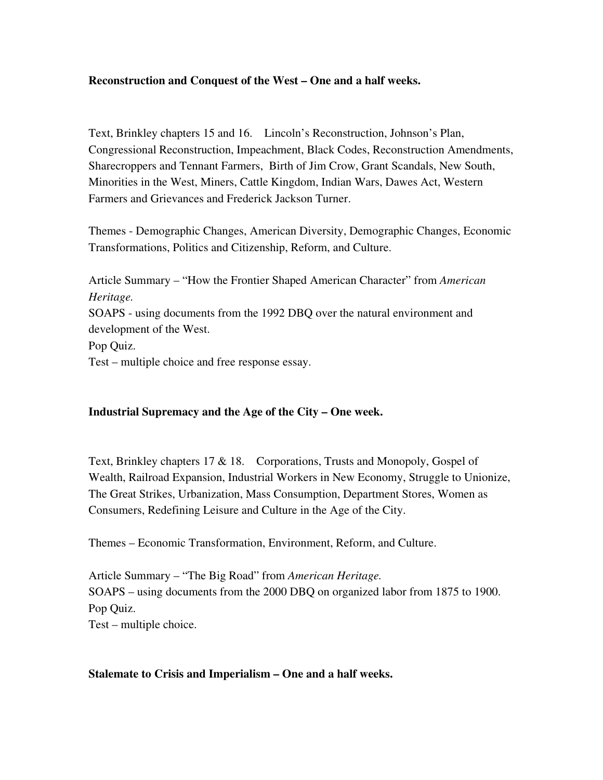## Reconstruction and Conquest of the West – One and a half weeks.

Text, Brinkley chapters 15 and 16. Lincoln's Reconstruction, Johnson's Plan, Congressional Reconstruction, Impeachment, Black Codes, Reconstruction Amendments, Sharecroppers and Tennant Farmers, Birth of Jim Crow, Grant Scandals, New South, Minorities in the West, Miners, Cattle Kingdom, Indian Wars, Dawes Act, Western Farmers and Grievances and Frederick Jackson Turner.

Themes Demographic Changes, American Diversity, Demographic Changes, Economic Transformations, Politics and Citizenship, Reform, and Culture.

Article Summary – "How the Frontier Shaped American Character" from *American Heritage.* SOAPS - using documents from the 1992 DBQ over the natural environment and development of the West. Pop Quiz. Test – multiple choice and free response essay.

#### Industrial Supremacy and the Age of the City – One week.

Text, Brinkley chapters  $17 \& 18$ . Corporations, Trusts and Monopoly, Gospel of Wealth, Railroad Expansion, Industrial Workers in New Economy, Struggle to Unionize, The Great Strikes, Urbanization, Mass Consumption, Department Stores, Women as Consumers, Redefining Leisure and Culture in the Age of the City.

Themes – Economic Transformation, Environment, Reform, and Culture.

Article Summary – "The Big Road" from *American Heritage.* SOAPS – using documents from the 2000 DBQ on organized labor from 1875 to 1900. Pop Quiz. Test – multiple choice.

#### Stalemate to Crisis and Imperialism – One and a half weeks.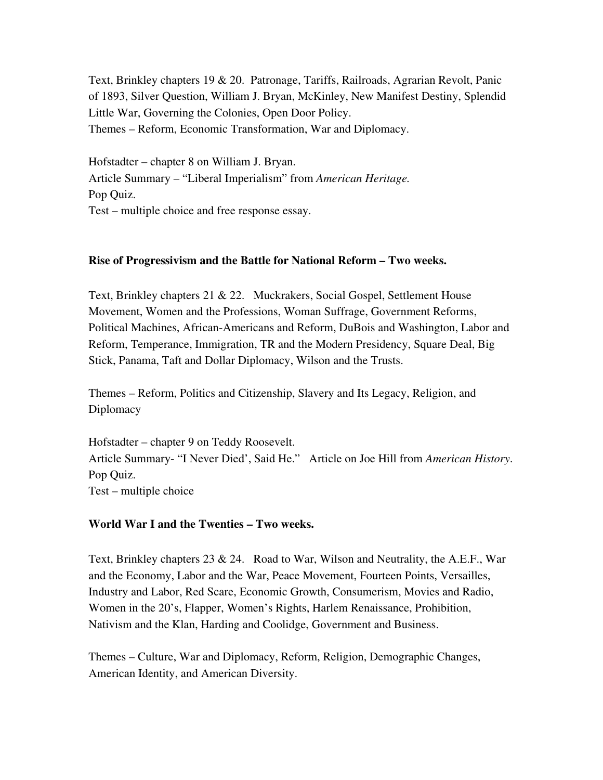Text, Brinkley chapters 19 & 20. Patronage, Tariffs, Railroads, Agrarian Revolt, Panic of 1893, Silver Question, William J. Bryan, McKinley, New Manifest Destiny, Splendid Little War, Governing the Colonies, Open Door Policy. Themes – Reform, Economic Transformation, War and Diplomacy.

Hofstadter – chapter 8 on William J. Bryan. Article Summary – "Liberal Imperialism" from *American Heritage.* Pop Quiz. Test – multiple choice and free response essay.

## Rise of Progressivism and the Battle for National Reform – Two weeks.

Text, Brinkley chapters 21 & 22. Muckrakers, Social Gospel, Settlement House Movement, Women and the Professions, Woman Suffrage, Government Reforms, Political Machines, African-Americans and Reform, DuBois and Washington, Labor and Reform, Temperance, Immigration, TR and the Modern Presidency, Square Deal, Big Stick, Panama, Taft and Dollar Diplomacy, Wilson and the Trusts.

Themes – Reform, Politics and Citizenship, Slavery and Its Legacy, Religion, and **Diplomacy** 

Hofstadter – chapter 9 on Teddy Roosevelt. Article Summary- "I Never Died', Said He." Article on Joe Hill from *American History*. Pop Quiz. Test – multiple choice

## World War I and the Twenties – Two weeks.

Text, Brinkley chapters  $23 \& 24$ . Road to War, Wilson and Neutrality, the A.E.F., War and the Economy, Labor and the War, Peace Movement, Fourteen Points, Versailles, Industry and Labor, Red Scare, Economic Growth, Consumerism, Movies and Radio, Women in the 20's, Flapper, Women's Rights, Harlem Renaissance, Prohibition, Nativism and the Klan, Harding and Coolidge, Government and Business.

Themes – Culture, War and Diplomacy, Reform, Religion, Demographic Changes, American Identity, and American Diversity.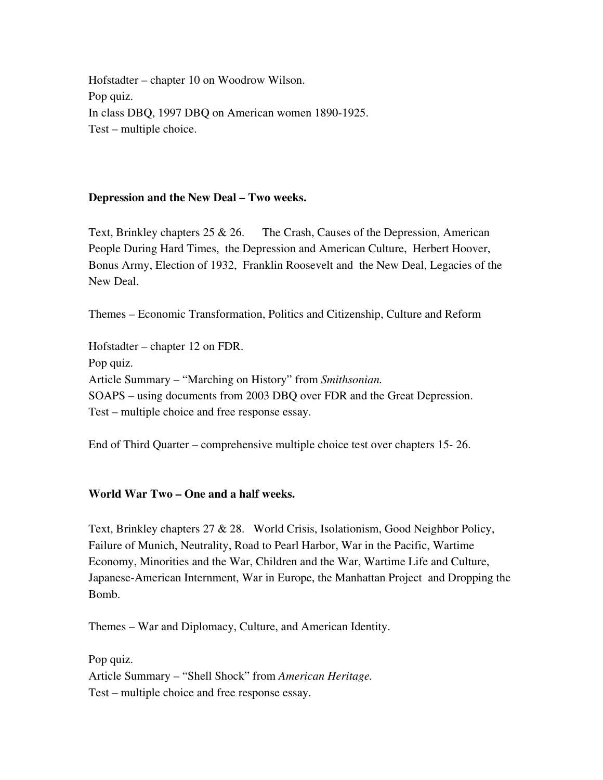Hofstadter – chapter 10 on Woodrow Wilson. Pop quiz. In class DBQ, 1997 DBQ on American women 1890-1925. Test – multiple choice.

## Depression and the New Deal – Two weeks.

Text, Brinkley chapters 25 & 26. The Crash, Causes of the Depression, American People During Hard Times, the Depression and American Culture, Herbert Hoover, Bonus Army, Election of 1932, Franklin Roosevelt and the New Deal, Legacies of the New Deal.

Themes – Economic Transformation, Politics and Citizenship, Culture and Reform

Hofstadter – chapter 12 on FDR. Pop quiz. Article Summary – "Marching on History" from *Smithsonian.* SOAPS – using documents from 2003 DBQ over FDR and the Great Depression. Test – multiple choice and free response essay.

End of Third Quarter – comprehensive multiple choice test over chapters 15 26.

## World War Two – One and a half weeks.

Text, Brinkley chapters 27 & 28. World Crisis, Isolationism, Good Neighbor Policy, Failure of Munich, Neutrality, Road to Pearl Harbor, War in the Pacific, Wartime Economy, Minorities and the War, Children and the War, Wartime Life and Culture, Japanese-American Internment, War in Europe, the Manhattan Project and Dropping the Bomb.

Themes – War and Diplomacy, Culture, and American Identity.

Pop quiz. Article Summary – "Shell Shock" from *American Heritage.* Test – multiple choice and free response essay.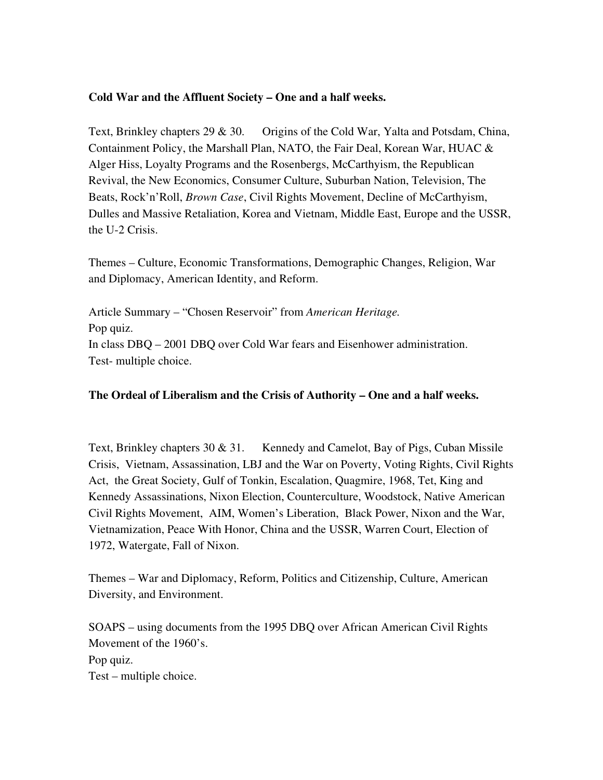## Cold War and the Affluent Society – One and a half weeks.

Text, Brinkley chapters 29 & 30. Origins of the Cold War, Yalta and Potsdam, China, Containment Policy, the Marshall Plan, NATO, the Fair Deal, Korean War, HUAC & Alger Hiss, Loyalty Programs and the Rosenbergs, McCarthyism, the Republican Revival, the New Economics, Consumer Culture, Suburban Nation, Television, The Beats, Rock'n'Roll, *Brown Case*, Civil Rights Movement, Decline of McCarthyism, Dulles and Massive Retaliation, Korea and Vietnam, Middle East, Europe and the USSR, the U-2 Crisis.

Themes – Culture, Economic Transformations, Demographic Changes, Religion, War and Diplomacy, American Identity, and Reform.

Article Summary – "Chosen Reservoir" from *American Heritage.* Pop quiz. In class DBQ – 2001 DBQ over Cold War fears and Eisenhower administration. Test- multiple choice.

## The Ordeal of Liberalism and the Crisis of Authority – One and a half weeks.

Text, Brinkley chapters  $30 \& 31$ . Kennedy and Camelot, Bay of Pigs, Cuban Missile Crisis, Vietnam, Assassination, LBJ and the War on Poverty, Voting Rights, Civil Rights Act, the Great Society, Gulf of Tonkin, Escalation, Quagmire, 1968, Tet, King and Kennedy Assassinations, Nixon Election, Counterculture, Woodstock, Native American Civil Rights Movement, AIM, Women's Liberation, Black Power, Nixon and the War, Vietnamization, Peace With Honor, China and the USSR, Warren Court, Election of 1972, Watergate, Fall of Nixon.

Themes – War and Diplomacy, Reform, Politics and Citizenship, Culture, American Diversity, and Environment.

SOAPS – using documents from the 1995 DBQ over African American Civil Rights Movement of the 1960's. Pop quiz. Test – multiple choice.